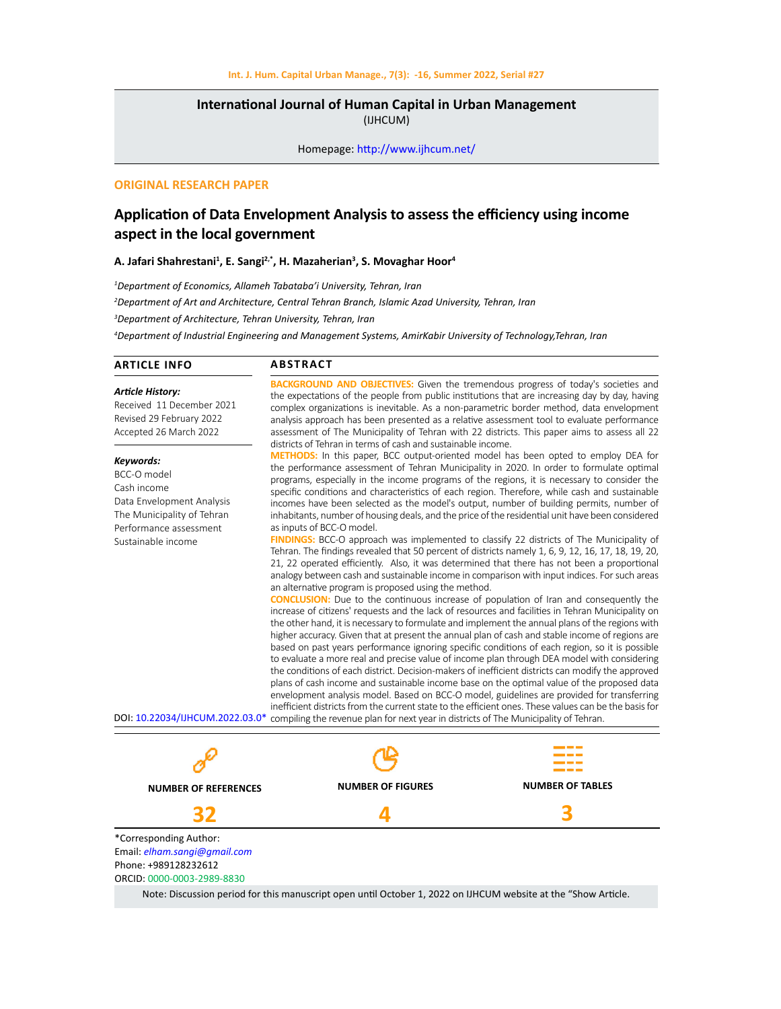## **International Journal of Human Capital in Urban Management**  (IJHCUM)

Homepage: http://www.ijhcum.net/

## **ORIGINAL RESEARCH PAPER**

# **Application of Data Envelopment Analysis to assess the efficiency using income aspect in the local government**

**A. Jafari Shahrestani<sup>1</sup> , E. Sangi2,\*, H. Mazaherian<sup>3</sup> , S. Movaghar Hoor<sup>4</sup>**

 *Department of Economics, Allameh Tabataba'i University, Tehran, Iran Department of Art and Architecture, Central Tehran Branch, Islamic Azad University, Tehran, Iran Department of Architecture, Tehran University, Tehran, Iran Department of Industrial Engineering and Management Systems, AmirKabir University of Technology,Tehran, Iran*

#### **ARTICLE INFO**

#### **ABSTRACT**

*Article History:* Received 11 December 2021 Revised 29 February 2022 Accepted 26 March 2022

#### *Keywords:*

BCC-O model Cash income Data Envelopment Analysis The Municipality of Tehran Performance assessment Sustainable income

**BACKGROUND AND OBJECTIVES:** Given the tremendous progress of today's societies and the expectations of the people from public institutions that are increasing day by day, having complex organizations is inevitable. As a non-parametric border method, data envelopment analysis approach has been presented as a relative assessment tool to evaluate performance assessment of The Municipality of Tehran with 22 districts. This paper aims to assess all 22 districts of Tehran in terms of cash and sustainable income.

**METHODS:** In this paper, BCC output-oriented model has been opted to employ DEA for the performance assessment of Tehran Municipality in 2020. In order to formulate optimal programs, especially in the income programs of the regions, it is necessary to consider the specific conditions and characteristics of each region. Therefore, while cash and sustainable incomes have been selected as the model's output, number of building permits, number of inhabitants, number of housing deals, and the price of the residential unit have been considered as inputs of BCC-O model.

**FINDINGS:** BCC-O approach was implemented to classify 22 districts of The Municipality of Tehran. The findings revealed that 50 percent of districts namely 1, 6, 9, 12, 16, 17, 18, 19, 20, 21, 22 operated efficiently. Also, it was determined that there has not been a proportional analogy between cash and sustainable income in comparison with input indices. For such areas an alternative program is proposed using the method.

**CONCLUSION:** Due to the continuous increase of population of Iran and consequently the increase of citizens' requests and the lack of resources and facilities in Tehran Municipality on the other hand, it is necessary to formulate and implement the annual plans of the regions with higher accuracy. Given that at present the annual plan of cash and stable income of regions are based on past years performance ignoring specific conditions of each region, so it is possible to evaluate a more real and precise value of income plan through DEA model with considering the conditions of each district. Decision-makers of inefficient districts can modify the approved plans of cash income and sustainable income base on the optimal value of the proposed data envelopment analysis model. Based on BCC-O model, guidelines are provided for transferring inefficient districts from the current state to the efficient ones. These values can be the basis for DOI: 10.22034/IJHCUM.2022.03.0\* compiling the revenue plan for next year in districts of The Municipality of Tehran.

**NUMBER OF TABLES**

**3**

**NUMBER OF FIGURES**

**4**



**32** \*Corresponding Author: Email: *elham.sangi@gmail.com* Phone: +989128232612 ORCID: 0000-0003-2989-8830

Note: Discussion period for this manuscript open until October 1, 2022 on IJHCUM website at the "Show Article.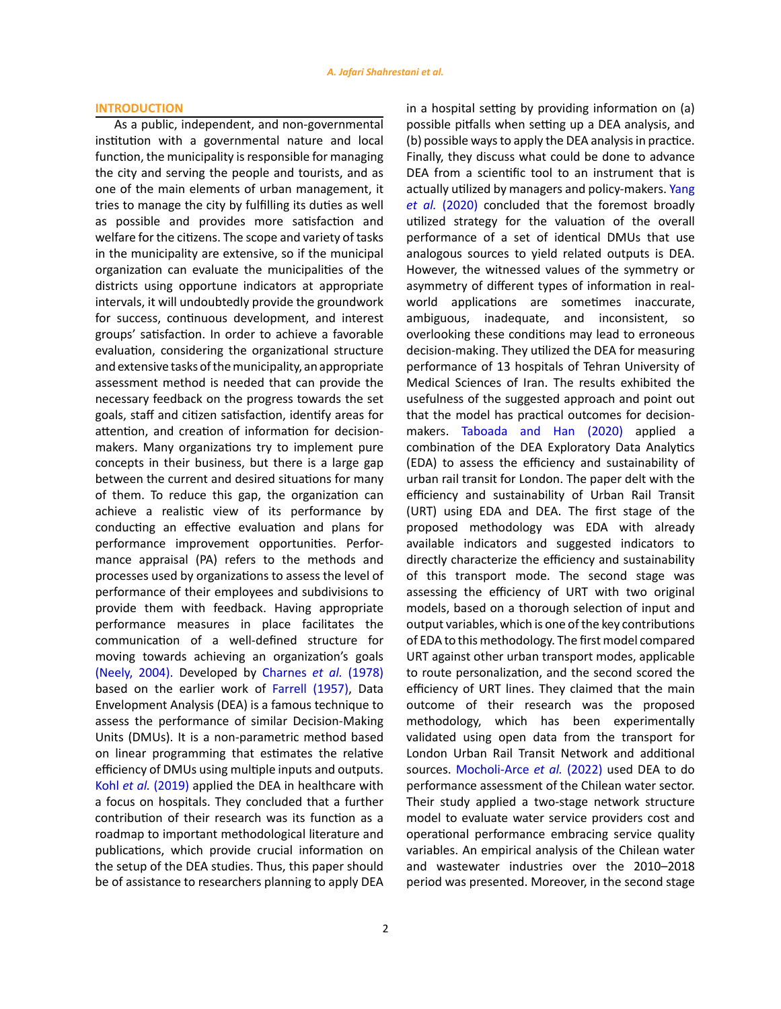## **INTRODUCTION**

As a public, independent, and non-governmental institution with a governmental nature and local function, the municipality is responsible for managing the city and serving the people and tourists, and as one of the main elements of urban management, it tries to manage the city by fulfilling its duties as well as possible and provides more satisfaction and welfare for the citizens. The scope and variety of tasks in the municipality are extensive, so if the municipal organization can evaluate the municipalities of the districts using opportune indicators at appropriate intervals, it will undoubtedly provide the groundwork for success, continuous development, and interest groups' satisfaction. In order to achieve a favorable evaluation, considering the organizational structure and extensive tasks of the municipality, an appropriate assessment method is needed that can provide the necessary feedback on the progress towards the set goals, staff and citizen satisfaction, identify areas for attention, and creation of information for decisionmakers. Many organizations try to implement pure concepts in their business, but there is a large gap between the current and desired situations for many of them. To reduce this gap, the organization can achieve a realistic view of its performance by conducting an effective evaluation and plans for performance improvement opportunities. Performance appraisal (PA) refers to the methods and processes used by organizations to assess the level of performance of their employees and subdivisions to provide them with feedback. Having appropriate performance measures in place facilitates the communication of a well-defined structure for moving towards achieving an organization's goals (Neely, 2004). Developed by Charnes *et al.* (1978) based on the earlier work of Farrell (1957), Data Envelopment Analysis (DEA) is a famous technique to assess the performance of similar Decision-Making Units (DMUs). It is a non-parametric method based on linear programming that estimates the relative efficiency of DMUs using multiple inputs and outputs. Kohl *et al.* (2019) applied the DEA in healthcare with a focus on hospitals. They concluded that a further contribution of their research was its function as a roadmap to important methodological literature and publications, which provide crucial information on the setup of the DEA studies. Thus, this paper should be of assistance to researchers planning to apply DEA

2

in a hospital setting by providing information on (a) possible pitfalls when setting up a DEA analysis, and (b) possible ways to apply the DEA analysis in practice. Finally, they discuss what could be done to advance DEA from a scientific tool to an instrument that is actually utilized by managers and policy-makers. Yang *et al.* (2020) concluded that the foremost broadly utilized strategy for the valuation of the overall performance of a set of identical DMUs that use analogous sources to yield related outputs is DEA. However, the witnessed values of the symmetry or asymmetry of different types of information in realworld applications are sometimes inaccurate, ambiguous, inadequate, and inconsistent, so overlooking these conditions may lead to erroneous decision-making. They utilized the DEA for measuring performance of 13 hospitals of Tehran University of Medical Sciences of Iran. The results exhibited the usefulness of the suggested approach and point out that the model has practical outcomes for decisionmakers. Taboada and Han (2020) applied a combination of the DEA Exploratory Data Analytics (EDA) to assess the efficiency and sustainability of urban rail transit for London. The paper delt with the efficiency and sustainability of Urban Rail Transit (URT) using EDA and DEA. The first stage of the proposed methodology was EDA with already available indicators and suggested indicators to directly characterize the efficiency and sustainability of this transport mode. The second stage was assessing the efficiency of URT with two original models, based on a thorough selection of input and output variables, which is one of the key contributions of EDA to this methodology. The first model compared URT against other urban transport modes, applicable to route personalization, and the second scored the efficiency of URT lines. They claimed that the main outcome of their research was the proposed methodology, which has been experimentally validated using open data from the transport for London Urban Rail Transit Network and additional sources. Mocholi-Arce *et al.* (2022) used DEA to do performance assessment of the Chilean water sector. Their study applied a two-stage network structure model to evaluate water service providers cost and operational performance embracing service quality variables. An empirical analysis of the Chilean water and wastewater industries over the 2010–2018 period was presented. Moreover, in the second stage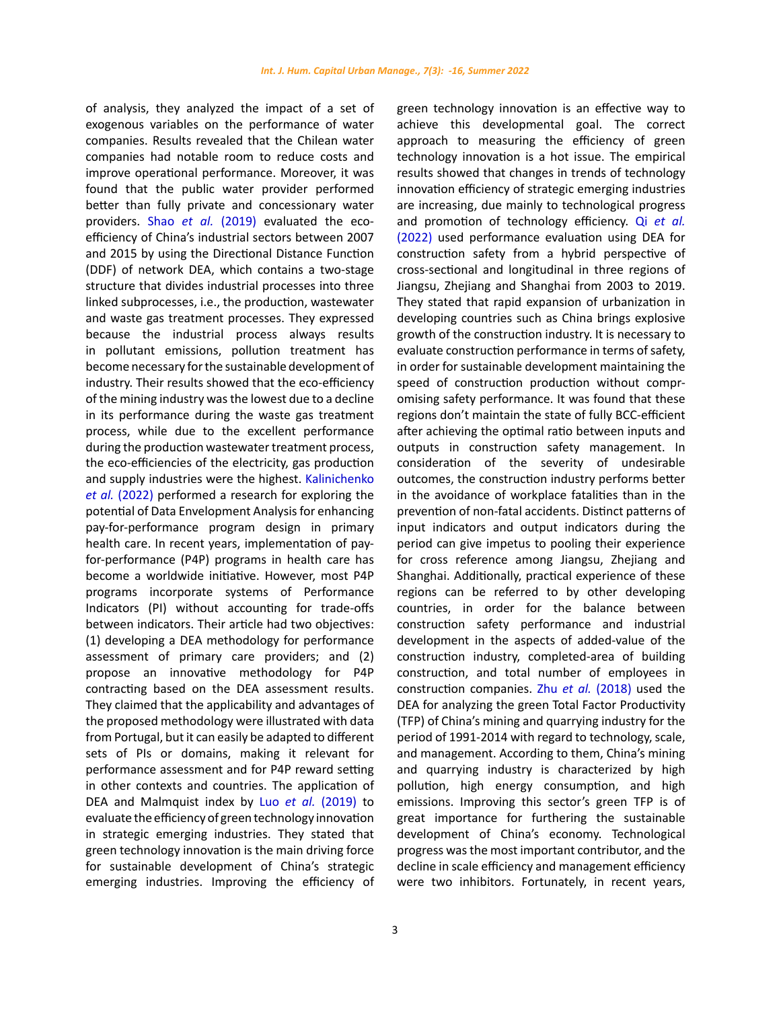of analysis, they analyzed the impact of a set of exogenous variables on the performance of water companies. Results revealed that the Chilean water companies had notable room to reduce costs and improve operational performance. Moreover, it was found that the public water provider performed better than fully private and concessionary water providers. Shao *et al.* (2019) evaluated the ecoefficiency of China's industrial sectors between 2007 and 2015 by using the Directional Distance Function (DDF) of network DEA, which contains a two-stage structure that divides industrial processes into three linked [subprocesses](https://www.sciencedirect.com/topics/engineering/subprocesses), i.e., the production, wastewater and waste gas treatment processes. They expressed because the industrial process always results in [pollutant emissions,](https://www.sciencedirect.com/topics/earth-and-planetary-sciences/pollutant-emission) pollution treatment has become necessary for the [sustainable development](https://www.sciencedirect.com/topics/earth-and-planetary-sciences/environmental-impact-assessment) of industry. Their results showed that the eco-efficiency of the mining industry was the lowest due to a decline in its performance during the waste gas treatment process, while due to the excellent performance during the production wastewater treatment process, the eco-efficiencies of the electricity, gas production and supply industries were the highest. Kalinichenko *et al.* (2022) performed a research for exploring the potential of Data Envelopment Analysis for enhancing pay-for-performance program design in primary health care. In recent years, implementation of payfor-performance (P4P) programs in health care has become a worldwide initiative. However, most P4P programs incorporate systems of Performance Indicators (PI) without accounting for trade-offs between indicators. Their article had two objectives: (1) developing a DEA methodology for performance assessment of primary care providers; and (2) propose an innovative methodology for P4P contracting based on the DEA assessment results. They claimed that the applicability and advantages of the proposed methodology were illustrated with data from Portugal, but it can easily be adapted to different sets of PIs or domains, making it relevant for performance assessment and for P4P reward setting in other contexts and countries. The application of DEA and Malmquist index by Luo *et al.* (2019) to evaluate the efficiency of green technology innovation in strategic emerging industries. They stated that green technology innovation is the main driving force for [sustainable development](https://www.sciencedirect.com/topics/earth-and-planetary-sciences/environmental-impact-assessment) of China's strategic emerging industries. Improving the efficiency of

green technology innovation is an effective way to achieve this developmental goal. The correct approach to measuring the efficiency of green technology innovation is a hot issue. The empirical results showed that changes in trends of technology innovation efficiency of strategic emerging industries are increasing, due mainly to technological progress and promotion of technology efficiency. Qi *et al.* (2022) used performance evaluation using DEA for construction safety from a hybrid perspective of cross-sectional and longitudinal in three regions of Jiangsu, Zhejiang and Shanghai from 2003 to 2019. They stated that rapid expansion of urbanization in developing countries such as China brings explosive growth of the construction industry. It is necessary to evaluate construction performance in terms of safety, in order for sustainable development maintaining the speed of construction production without compromising safety performance. It was found that these regions don't maintain the state of fully BCC-efficient after achieving the optimal ratio between inputs and outputs in construction safety management. In consideration of the severity of undesirable outcomes, the construction industry performs better in the avoidance of workplace fatalities than in the prevention of non-fatal accidents. Distinct patterns of input indicators and output indicators during the period can give impetus to pooling their experience for cross reference among Jiangsu, Zhejiang and Shanghai. Additionally, practical experience of these regions can be referred to by other developing countries, in order for the balance between construction safety performance and industrial development in the aspects of added-value of the construction industry, completed-area of building construction, and total number of employees in construction companies. Zhu *et al.* (2018) used the DEA for analyzing the green [Total Factor Productivity](https://www.sciencedirect.com/topics/earth-and-planetary-sciences/total-factor-productivity) (TFP) of China's mining and quarrying industry for the period of 1991-2014 with regard to technology, scale, and management. According to them, China's mining and [quarrying](https://www.sciencedirect.com/topics/economics-econometrics-and-finance/nonmetallic-minerals-industry) industry is characterized by high pollution, high energy consumption, and high emissions. Improving this sector's green TFP is of great importance for furthering the sustainable development of China's economy. Technological progress was the most important contributor, and the decline in scale efficiency and management efficiency were two inhibitors. Fortunately, in recent years,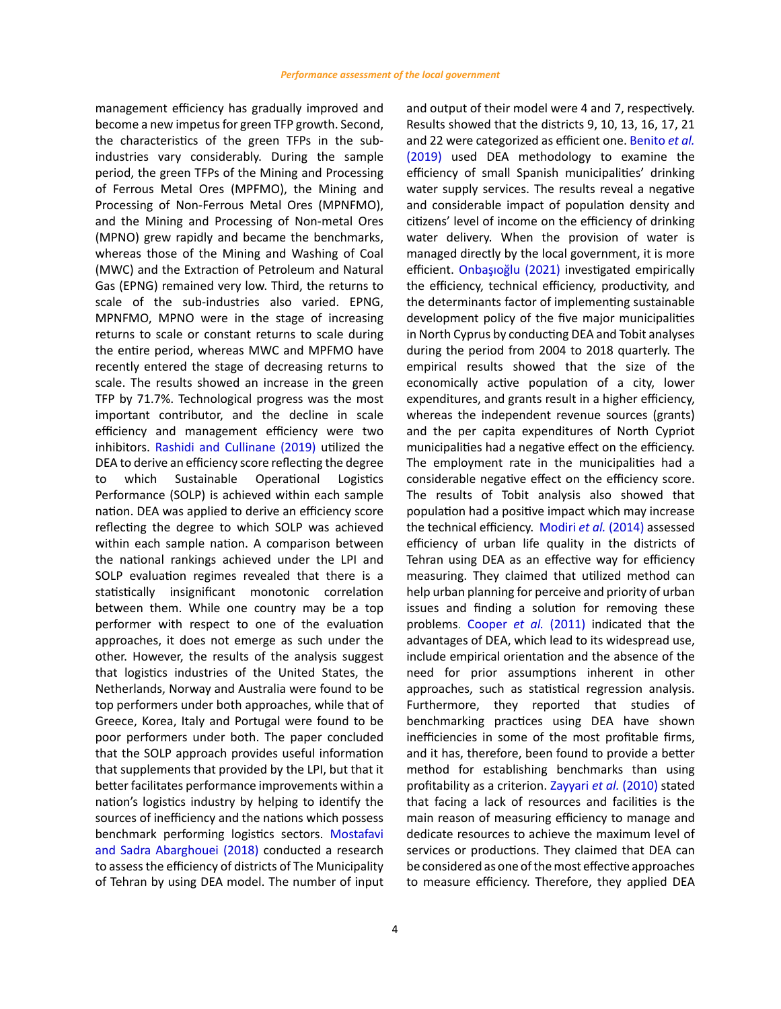management efficiency has gradually improved and become a new impetus for green TFP growth. Second, the characteristics of the green TFPs in the subindustries vary considerably. During the sample period, the green TFPs of the Mining and Processing of [Ferrous Metal](https://www.sciencedirect.com/topics/earth-and-planetary-sciences/ferrous-metal) Ores (MPFMO), the Mining and Processing of [Non-Ferrous Metal](https://www.sciencedirect.com/topics/earth-and-planetary-sciences/non-ferrous-metal) Ores (MPNFMO), and the Mining and Processing of Non-metal Ores (MPNO) grew rapidly and became the benchmarks, whereas those of the Mining and Washing of Coal (MWC) and the Extraction of Petroleum and Natural Gas (EPNG) remained very low. Third, the returns to scale of the sub-industries also varied. EPNG, MPNFMO, MPNO were in the stage of increasing returns to scale or constant returns to scale during the entire period, whereas MWC and MPFMO have recently entered the stage of decreasing returns to scale. The results showed an increase in the green TFP by 71.7%. Technological progress was the most important contributor, and the decline in scale efficiency and management efficiency were two inhibitors. Rashidi and Cullinane (2019) utilized the DEA to derive an efficiency score reflecting the degree to which Sustainable Operational Logistics Performance (SOLP) is achieved within each sample nation. DEA was applied to derive an efficiency score reflecting the degree to which SOLP was achieved within each sample nation. A comparison between the national rankings achieved under the LPI and SOLP evaluation regimes revealed that there is a statistically insignificant monotonic correlation between them. While one country may be a top performer with respect to one of the evaluation approaches, it does not emerge as such under the other. However, the results of the analysis suggest that logistics industries of the United States, the Netherlands, Norway and Australia were found to be top performers under both approaches, while that of Greece, Korea, Italy and Portugal were found to be poor performers under both. The paper concluded that the SOLP approach provides useful information that supplements that provided by the LPI, but that it better facilitates performance improvements within a nation's logistics industry by helping to identify the sources of inefficiency and the nations which possess benchmark performing logistics sectors. Mostafavi and Sadra Abarghouei (2018) conducted a research to assess the efficiency of districts of The Municipality of Tehran by using DEA model. The number of input

and output of their model were 4 and 7, respectively. Results showed that the districts 9, 10, 13, 16, 17, 21 and 22 were categorized as efficient one. Benito *et al.* (2019) used DEA methodology to examine the efficiency of small Spanish municipalities' drinking water supply services. The results reveal a negative and considerable impact of population density and citizens' level of income on the efficiency of drinking water delivery. When the provision of water is managed directly by the local government, it is more efficient. Onbaşıoğlu (2021) investigated empirically the efficiency, technical efficiency, productivity, and the determinants factor of implementing sustainable development policy of the five major municipalities in North Cyprus by conducting DEA and Tobit analyses during the period from 2004 to 2018 quarterly. The empirical results showed that the size of the economically active population of a city, lower expenditures, and grants result in a higher efficiency, whereas the independent revenue sources (grants) and the per capita expenditures of North Cypriot municipalities had a negative effect on the efficiency. The employment rate in the municipalities had a considerable negative effect on the efficiency score. The results of Tobit analysis also showed that population had a positive impact which may increase the technical efficiency. Modiri *et al.* (2014) assessed efficiency of urban life quality in the districts of Tehran using DEA as an effective way for efficiency measuring. They claimed that utilized method can help urban planning for perceive and priority of urban issues and finding a solution for removing these problems. Cooper *et al.* (2011) indicated that the advantages of DEA, which lead to its widespread use, include empirical orientation and the absence of the need for prior assumptions inherent in other approaches, such as statistical regression analysis. Furthermore, they reported that studies of benchmarking practices using DEA have shown inefficiencies in some of the most profitable firms, and it has, therefore, been found to provide a better method for establishing benchmarks than using profitability as a criterion. Zayyari *et al.* (2010) stated that facing a lack of resources and facilities is the main reason of measuring efficiency to manage and dedicate resources to achieve the maximum level of services or productions. They claimed that DEA can be considered as one of the most effective approaches to measure efficiency. Therefore, they applied DEA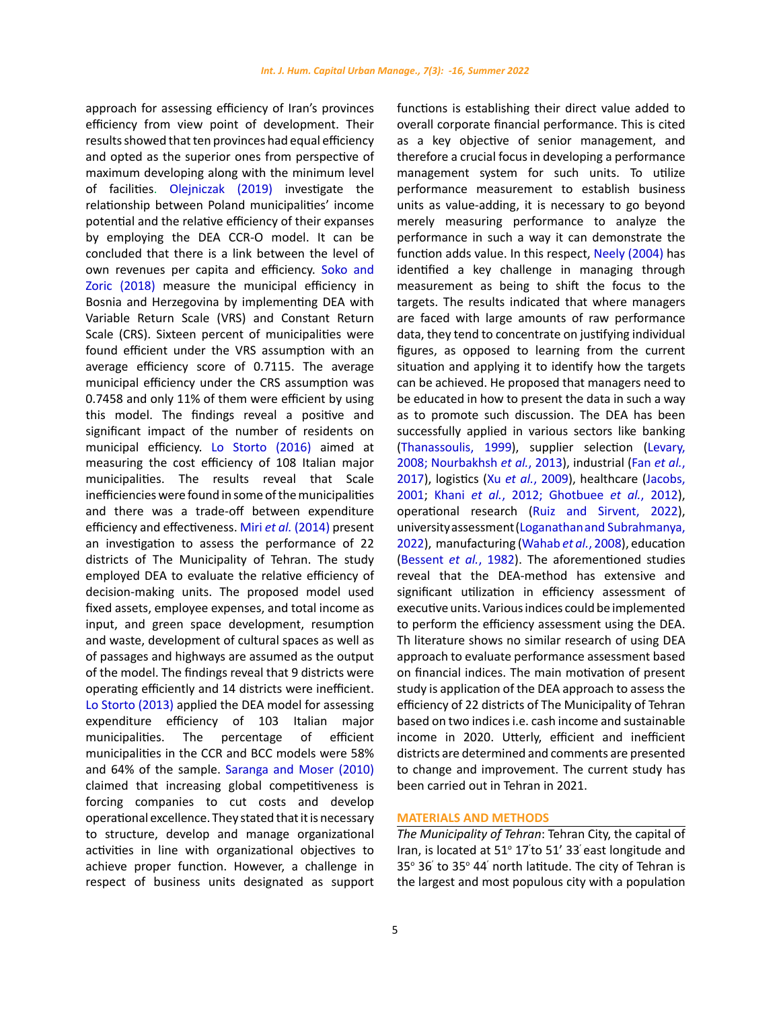approach for assessing efficiency of Iran's provinces efficiency from view point of development. Their results showed that ten provinces had equal efficiency and opted as the superior ones from perspective of maximum developing along with the minimum level of facilities. Olejniczak (2019) investigate the relationship between Poland municipalities' income potential and the relative efficiency of their expanses by employing the DEA CCR-O model. It can be concluded that there is a link between the level of own revenues per capita and efficiency. Soko and Zoric (2018) measure the municipal efficiency in Bosnia and Herzegovina by implementing DEA with Variable Return Scale (VRS) and Constant Return Scale (CRS). Sixteen percent of municipalities were found efficient under the VRS assumption with an average efficiency score of 0.7115. The average municipal efficiency under the CRS assumption was 0.7458 and only 11% of them were efficient by using this model. The findings reveal a positive and significant impact of the number of residents on municipal efficiency. Lo Storto (2016) aimed at measuring the cost efficiency of 108 Italian major municipalities. The results reveal that Scale inefficiencies were found in some of the municipalities and there was a trade-off between expenditure efficiency and effectiveness. Miri *et al.* (2014) present an investigation to assess the performance of 22 districts of The Municipality of Tehran. The study employed DEA to evaluate the relative efficiency of decision-making units. The proposed model used fixed assets, employee expenses, and total income as input, and green space development, resumption and waste, development of cultural spaces as well as of passages and highways are assumed as the output of the model. The findings reveal that 9 districts were operating efficiently and 14 districts were inefficient. Lo Storto (2013) applied the DEA model for assessing expenditure efficiency of 103 Italian major municipalities. The percentage of efficient municipalities in the CCR and BCC models were 58% and 64% of the sample. Saranga and Moser (2010) claimed that increasing global competitiveness is forcing companies to cut costs and develop operational excellence. They stated that it is necessary to structure, develop and manage organizational activities in line with organizational objectives to achieve proper function. However, a challenge in respect of business units designated as support functions is establishing their direct value added to overall corporate financial performance. This is cited as a key objective of senior management, and therefore a crucial focus in developing a performance management system for such units. To utilize performance measurement to establish business units as value-adding, it is necessary to go beyond merely measuring performance to analyze the performance in such a way it can demonstrate the function adds value. In this respect, Neely (2004) has identified a key challenge in managing through measurement as being to shift the focus to the targets. The results indicated that where managers are faced with large amounts of raw performance data, they tend to concentrate on justifying individual figures, as opposed to learning from the current situation and applying it to identify how the targets can be achieved. He proposed that managers need to be educated in how to present the data in such a way as to promote such discussion. The DEA has been successfully applied in various sectors like banking (Thanassoulis, 1999), supplier selection (Levary, 2008; Nourbakhsh *et al.*, 2013), industrial (Fan *et al.*, 2017), logistics (Xu *et al.*, 2009), healthcare (Jacobs, 2001; Khani *et al.*, 2012; Ghotbuee *et al.*, 2012), operational research (Ruiz and Sirvent, 2022), university assessment (Loganathan and Subrahmanya, 2022), manufacturing (Wahab *et al.*, 2008), education (Bessent *et al.*, 1982). The aforementioned studies reveal that the DEA-method has extensive and significant utilization in efficiency assessment of executive units. Various indices could be implemented to perform the efficiency assessment using the DEA. Th literature shows no similar research of using DEA approach to evaluate performance assessment based on financial indices. The main motivation of present study is application of the DEA approach to assess the efficiency of 22 districts of The Municipality of Tehran based on two indices i.e. cash income and sustainable income in 2020. Utterly, efficient and inefficient districts are determined and comments are presented to change and improvement. The current study has been carried out in Tehran in 2021.

## **MATERIALS AND METHODS**

*The Municipality of Tehran*: Tehran City, the capital of Iran, is located at 51° 17' to 51' 33' east longitude and 35° 36' to 35° 44' north latitude. The city of Tehran is the largest and most populous city with a population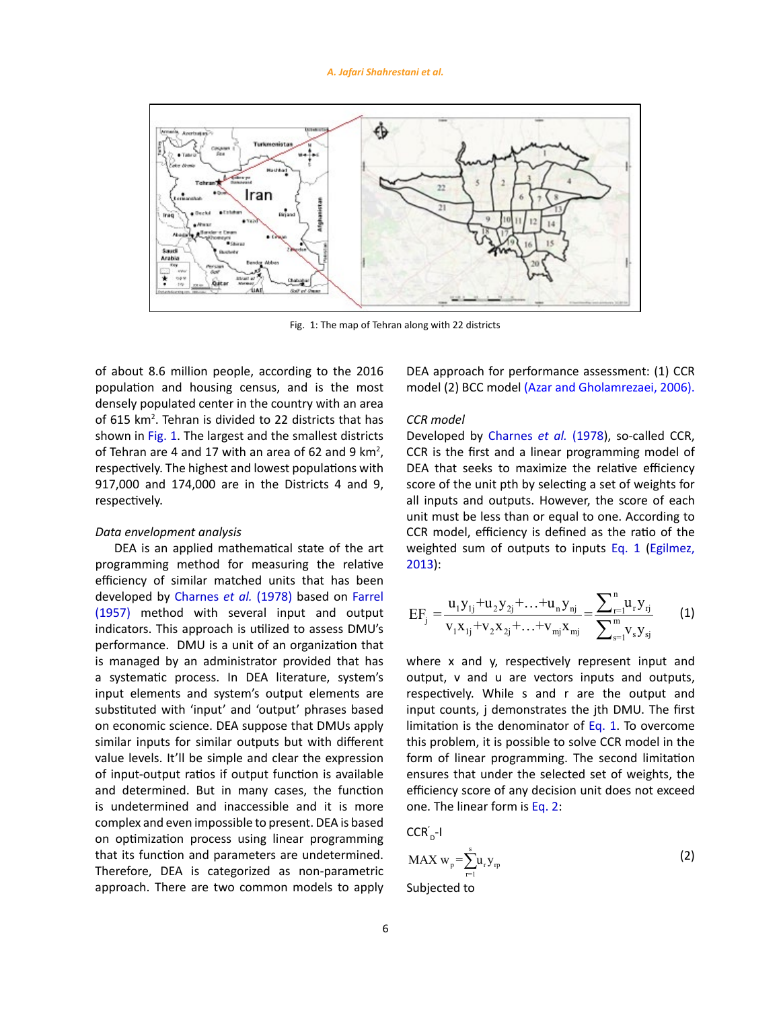#### *A. Jafari Shahrestani et al.*



Fig. 1: The map of Tehran along with 22 districts

of about 8.6 million people, according to the 2016 population and housing census, and is the most densely populated center in the country with an area of 615 km<sup>2</sup>. Tehran is divided to 22 districts that has shown in Fig. 1. The largest and the smallest districts of Tehran are 4 and 17 with an area of 62 and 9  $km^2$ , respectively. The highest and lowest populations with 917,000 and 174,000 are in the Districts 4 and 9, respectively.

## *Data envelopment analysis*

DEA is an applied mathematical state of the art programming method for measuring the relative efficiency of similar matched units that has been developed by Charnes *et al.* (1978) based on Farrel (1957) method with several input and output indicators. This approach is utilized to assess DMU's performance. DMU is a unit of an organization that is managed by an administrator provided that has a systematic process. In DEA literature, system's input elements and system's output elements are substituted with 'input' and 'output' phrases based on economic science. DEA suppose that DMUs apply similar inputs for similar outputs but with different value levels. It'll be simple and clear the expression of input-output ratios if output function is available and determined. But in many cases, the function is undetermined and inaccessible and it is more complex and even impossible to present. DEA is based on optimization process using linear programming that its function and parameters are undetermined. Therefore, DEA is categorized as non-parametric approach. There are two common models to apply DEA approach for performance assessment: (1) CCR model (2) BCC model (Azar and Gholamrezaei, 2006).

## *CCR model*

Developed by Charnes *et al.* (1978), so-called CCR, CCR is the first and a linear programming model of DEA that seeks to maximize the relative efficiency score of the unit pth by selecting a set of weights for all inputs and outputs. However, the score of each unit must be less than or equal to one. According to CCR model, efficiency is defined as the ratio of the weighted sum of outputs to inputs Eq. 1 (Egilmez, 2013):

$$
EF_{j} = \frac{u_{1}y_{1j} + u_{2}y_{2j} + \ldots + u_{n}y_{nj}}{v_{1}x_{1j} + v_{2}x_{2j} + \ldots + v_{mj}x_{mj}} = \frac{\sum_{r=1}^{n} u_{r}y_{rj}}{\sum_{s=1}^{m} v_{s}y_{sj}}
$$
(1)

where x and y, respectively represent input and output, v and u are vectors inputs and outputs, respectively. While s and r are the output and input counts, j demonstrates the jth DMU. The first limitation is the denominator of Eq. 1. To overcome this problem, it is possible to solve CCR model in the form of linear programming. The second limitation ensures that under the selected set of weights, the efficiency score of any decision unit does not exceed one. The linear form is Eq. 2:

$$
\mathsf{CCR}_{\scriptscriptstyle \mathsf{D}}'\text{-}\mathsf{I}
$$

$$
MAX w_p = \sum_{r=1}^{s} u_r y_r
$$
 (2)

Subjected to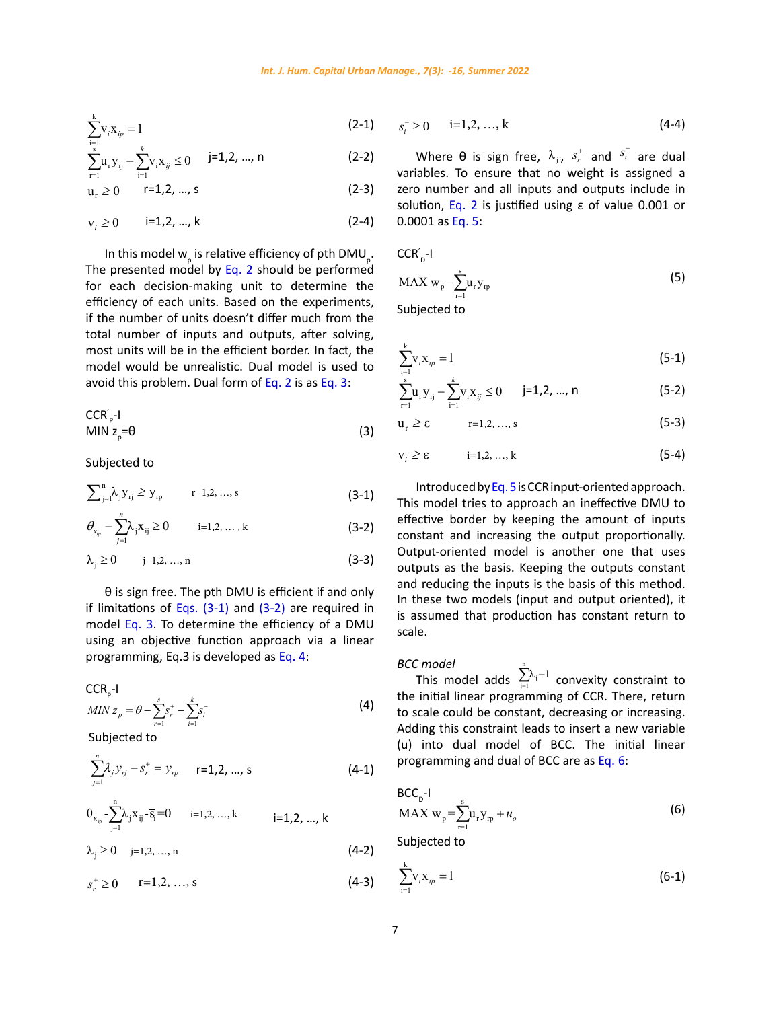$$
\sum_{i=1}^{k} v_i x_{ip} = 1
$$
 (2-1)

$$
\sum_{r=1}^{s} u_{r} y_{rj} - \sum_{i=1}^{k} v_{i} x_{ij} \le 0 \qquad j=1,2,...,n
$$
 (2-2)

$$
u_r \ge 0 \t r=1,2,..., s \t (2-3)
$$

$$
v_i \ge 0 \t i=1,2,...,k \t(2-4)
$$

In this model  $w_{p}^{}$  is relative efficiency of pth DMU $_{p}^{}$ . The presented model by Eq. 2 should be performed for each decision-making unit to determine the efficiency of each units. Based on the experiments, if the number of units doesn't differ much from the total number of inputs and outputs, after solving, most units will be in the efficient border. In fact, the model would be unrealistic. Dual model is used to avoid this problem. Dual form of Eq. 2 is as Eq. 3:

$$
CCR'_{p^{-1}}MIN z_{p} = \theta
$$
 (3)

Subjected to  $\frac{1}{2}$  subjected to

$$
\sum_{j=1}^{n} \lambda_j Y_{rj} \geq Y_{rp} \qquad r=1,2,...,s
$$
 (3-1)

$$
\theta_{x_{ip}} - \sum_{j=1}^{n} \lambda_j x_{ij} \ge 0 \qquad i=1,2,\ldots,k
$$
 (3-2)

$$
\lambda_j \ge 0 \qquad j=1,2,\,...,\,n \tag{3-3}
$$

if limitations of Eqs. (3-1) and (3-2) are required in  $\frac{1}{3}$  is assumed that production has complete that  $\frac{1}{3}$  is assumed that production has complete that  $\frac{1}{3}$  is assumed that production has complete that  $T_{\text{source}}$  is to determine the efficiency of a DMU scale. dering an opje if limitations of Eqs.  $(3-1)$  and  $(3-2)$  are required in<br>is assumed that production has co model Eq. 3. To determine the efficiency of a DMU scale using an objective function approach via a linear programming, Eq.3 is developed as Eq. 4: *s k*  $j = 1,2, \ldots, 2,$   $j = 1,2, \ldots, 2,$ 

$$
CCR_{p} - I
$$
  
\n
$$
MIN z_{p} = \theta - \sum_{r=1}^{s} s_{r}^{+} - \sum_{i=1}^{k} s_{i}^{-}
$$
\n(4)

Subjected Subjected to

$$
\sum_{j=1}^{n} \lambda_j y_{rj} - s_r^+ = y_{rp} \qquad \text{r=1,2, ..., s}
$$
 (4-1)

$$
\theta_{x_{i_p}}\text{-}\underset{j=1}{\overset{n}{\sum}}\lambda_jx_{ij}\text{-}\overline{s_i}\text{=}0 \qquad \text{i=1,2,...,k} \qquad \qquad \text{i=1,2,...,k}
$$

 $\mathbf{r}$ 

$$
\lambda_j \ge 0 \quad j=1,2,\ldots,n \tag{4-2}
$$

$$
s_r^+ \ge 0 \qquad r=1,2,\ldots,s
$$
 (4-3)

$$
s_i^- \ge 0 \qquad i=1,2,\ldots,k \tag{4-4}
$$

Where  $\theta$  is sign free,  $\lambda_j$ ,  $s_r^+$  and  $s_i^-$  are dual variables. To ensure that no weight is assigned a solution, Eq. 2 is justified using ε of value 0.001 or  $\mathsf{q}, \mathsf{5}$ zero number and all inputs and outputs include in 0.0001 as Eq. 5:

$$
\mathsf{CCR}_{\scriptscriptstyle \sf D}^{'\mathsf{-I}}
$$

$$
MAX w_p = \sum_{r=1}^{s} u_r y_{rp}
$$
 (5)

Subjected to vx 1 ∑ *i ip* <sup>=</sup> (5-1)

$$
\sum_{i=1}^{k} V_i X_{ip} = 1
$$
 (5-1)

$$
\sum_{r=1}^{s} u_r y_{rj} - \sum_{i=1}^{k} v_i x_{ij} \le 0 \qquad j=1,2,\dots,n \tag{5-2}
$$

$$
u_r \ge \epsilon \qquad \qquad r=1,2,\,\ldots,\,s \qquad \qquad (5-3)
$$

$$
v_i \ge \varepsilon \qquad i=1,2,\ldots,k \qquad (5-4)
$$

and reducing the inputs is the basis of its sign free. The pth DMU is efficient if and only and reducing the inputs is the basis Introduced by Eq. 5 is CCR input-oriented approach. This model tries to approach an ineffective DMU to effective border by keeping the amount of inputs constant and increasing the output proportionally. outputs as the basis. Keeping the outputs constant In these two models (input and output oriented), it and reducing the is assumed that production has constant return to  $\frac{1}{\sqrt{2}}$ and reducing the inputs is the basis of this method.<br>In these two models (input and output oriented) it of BCC. The initial linear programming and dual of BCC are as Eq. 6: Output-oriented model is another one that uses scale. wo mouers (input and output oriented), it

**BCC** model

This model adds  $\sum_{j=1}^{\infty} \lambda_j = 1$  convexity constraint to the initial linear programming of CCR. There, return Adding this constraint leads to insert a new variable (u) into dual model of BCC. The initial linear *v i i o*gramming and dual of BCC are as Eq. 6: to scale could be constant, decreasing or increasing.

n

$$
\text{BCC}_{\text{D}}\text{-1}\qquad\qquad
$$
  
MAX  $w_{\text{p}} = \sum_{\text{r}=1}^s u_{\text{r}} y_{\text{rp}} + u_o$  (6)

s Subjected to

$$
\sum_{i=1}^{k} v_i x_{ip} = 1
$$
 (6-1)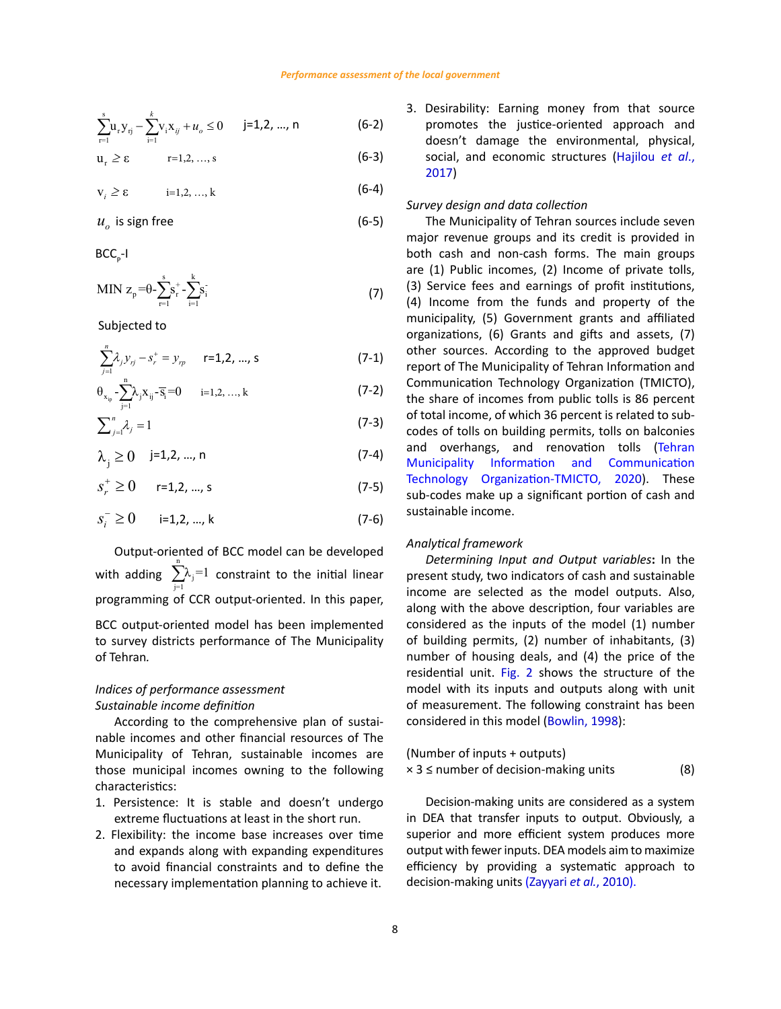$$
\sum_{r=1}^{s} u_{r} y_{rj} - \sum_{i=1}^{k} v_{i} x_{ij} + u_{o} \le 0 \qquad j=1,2,...,n
$$
 (6-2)

$$
u_r \ge \epsilon \qquad \qquad r=1,2,\ldots,s \qquad (6-3)
$$

 $v_i \ge \varepsilon$  *i*=1,2, …, k (6-4)

$$
u_o \text{ is sign free} \tag{6-5}
$$

 $BCC_{p}$ -I BCCP-I

MIN 
$$
z_p = \theta - \sum_{r=1}^{s} s_r^+ - \sum_{i=1}^{k} s_i^+
$$
 (7)

 Subjected to *n* <sup>λ</sup> *ys y* <sup>+</sup>

$$
\sum_{j=1}^{n} \lambda_j y_{rj} - s_r^+ = y_{rp} \qquad \text{r=1,2, ..., s}
$$
 (7-1)

$$
\theta_{x_{ip}} - \sum_{j=1}^{n} \lambda_j x_{ij} - \overline{s}_i = 0 \qquad i = 1, 2, ..., k \tag{7-2}
$$

$$
\sum_{j=1}^{n} \lambda_{j} = 1
$$
 (7-3)

 $\lambda_j \ge 0$  j=1,2, ..., n (7-4)

$$
s_r^+ \ge 0 \qquad r=1,2,...,s \tag{7-5}
$$

$$
s_i^- \ge 0 \qquad \text{ i=1,2, ..., } k \tag{7-6}
$$

Output-oriented of BCC model can be developed Output-oriented of BCC model can be developed with adding with adding  $\sum_{i=1}^{\infty}$  constraint to the initial linea programming of CCR output-oriented. In this paper, incorrented to survey along BCC output-oriented model has been implemented considered as the inputs of the m to survey districts performance of The Municipality performance of The Municipality of Tehran*.*  of Tehran*.*  n  $\sum_{j=1}$   $\lambda_j$ =1 constraint to the initial linear

# Sustainable income definition example and the surface of measurement. The

*Indices of performance assessment*

According to the comprehensive plan of sustai- considered in this model (Bowlin, 1998): nable incomes and other financial resources of The Municipality of Tehran, sustainable incomes are (Num those municipal incomes owning to the following  $x_3 \leq$  number of decision-making until those municipal incomes owning to the following  $x_3 \leq$  number of decision-making un environmental, physical, social, and economic structures (Hajilou *et al*., 2017) characteristics:  $\mathcal{L}$  is the income base increases over the income and expanding  $\mathcal{L}$  and  $\mathcal{L}$  financial financial financial financial financial financial financial financial financial financial financial financial financial f

- *Survey design and data collection* extreme fluctuations at least in the short run. The DEA that transfer inputs to out 1. Persistence: It is stable and doesn't undergo Decision-making
- 2. Flexibility: the income base increases over time superior and more efficient systen and expands along with expanding expenditures output with fewer inputs. DEA model to avoid financial constraints and to define the efficiency by providing a systema necessary implementation planning to achieve it. decision-making units (Zayyari et al., 2010). building permits, tolls on balconies and overhangs, and renovation tolls (Tehran Municipality Information and

3. Desirability: Earning money from that source promotes the justice-oriented approach and doesn't damage the environmental, physical, social, and economic structures (Hajilou *et al*., 2017)

# *Survey design and data collection*

The Municipality of Tehran sources include seven major revenue groups and its credit is provided in both cash and non-cash forms. The main groups are (1) Public incomes, (2) Income of private tolls, (3) Service fees and earnings of profit institutions, (4) Income from the funds and property of the municipality, (5) Government grants and affiliated organizations, (6) Grants and gifts and assets, (7) other sources. According to the approved budget report of The Municipality of Tehran Information and Communication Technology Organization (TMICTO), the share of incomes from public tolls is 86 percent of total income, of which 36 percent is related to subcodes of tolls on building permits, tolls on balconies and overhangs, and renovation tolls (Tehran Municipality Information and Communication Technology Organization-TMICTO, 2020). These sub-codes make up a significant portion of cash and sustainable income.

## *Analytical framework*

near procession come, income are selected as the model outputs. Also, Indices of performance assessment and a model with its inputs and outputs income are selected as the model outputs. Also,<br>along with the above description, four variables are considered as the inputs of the model (1) number of Compart contract model may be implemented.<br>The survey districts performance of The Municipality of building permits, (2) number of inhabitants, (3) *Determining Input and Output variables***:** In the present study, two indicators of cash and sustainable number of housing deals, and (4) the price of the residential unit. Fig. 2 shows the structure of the model with its inputs and outputs along with unit of measurement. The following constraint has been considered in this model (Bowlin, 1998):

(Number of inputs + outputs)  

$$
\times
$$
 3 ≤ number of decision-making units\n(8)

extreme fluctuations at least in the short run. 
In DEA that transfer inputs to output. Obviously, a Decision-making units are considered as a system superior and more efficient system produces more output with fewer inputs. DEA models aim to maximize efficiency by providing a systematic approach to decision-making units (Zayyari *et al.*, 2010).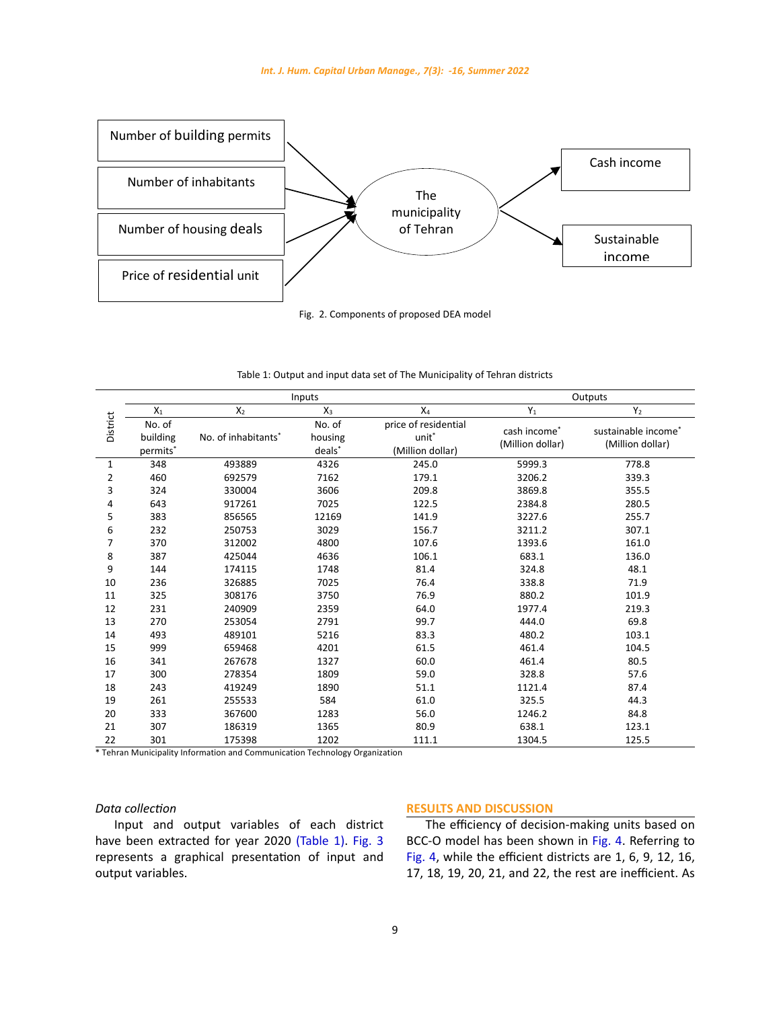

Fig. 2. Components of proposed DEA model

| Table 1: Output and input data set of The Municipality of Tehran districts |
|----------------------------------------------------------------------------|
|                                                                            |

|                | Inputs                                     |                                 |                             |                                                               | Outputs                          |                                         |
|----------------|--------------------------------------------|---------------------------------|-----------------------------|---------------------------------------------------------------|----------------------------------|-----------------------------------------|
|                | $X_1$                                      | X <sub>2</sub>                  | $X_3$                       | X <sub>4</sub>                                                | $Y_1$                            | $Y_2$                                   |
| District       | No. of<br>building<br>permits <sup>*</sup> | No. of inhabitants <sup>*</sup> | No. of<br>housing<br>deals* | price of residential<br>unit <sup>*</sup><br>(Million dollar) | cash income*<br>(Million dollar) | sustainable income*<br>(Million dollar) |
| 1              | 348                                        | 493889                          | 4326                        | 245.0                                                         | 5999.3                           | 778.8                                   |
| $\overline{2}$ | 460                                        | 692579                          | 7162                        | 179.1                                                         | 3206.2                           | 339.3                                   |
| 3              | 324                                        | 330004                          | 3606                        | 209.8                                                         | 3869.8                           | 355.5                                   |
| 4              | 643                                        | 917261                          | 7025                        | 122.5                                                         | 2384.8                           | 280.5                                   |
| 5              | 383                                        | 856565                          | 12169                       | 141.9                                                         | 3227.6                           | 255.7                                   |
| 6              | 232                                        | 250753                          | 3029                        | 156.7                                                         | 3211.2                           | 307.1                                   |
| 7              | 370                                        | 312002                          | 4800                        | 107.6                                                         | 1393.6                           | 161.0                                   |
| 8              | 387                                        | 425044                          | 4636                        | 106.1                                                         | 683.1                            | 136.0                                   |
| 9              | 144                                        | 174115                          | 1748                        | 81.4                                                          | 324.8                            | 48.1                                    |
| 10             | 236                                        | 326885                          | 7025                        | 76.4                                                          | 338.8                            | 71.9                                    |
| 11             | 325                                        | 308176                          | 3750                        | 76.9                                                          | 880.2                            | 101.9                                   |
| 12             | 231                                        | 240909                          | 2359                        | 64.0                                                          | 1977.4                           | 219.3                                   |
| 13             | 270                                        | 253054                          | 2791                        | 99.7                                                          | 444.0                            | 69.8                                    |
| 14             | 493                                        | 489101                          | 5216                        | 83.3                                                          | 480.2                            | 103.1                                   |
| 15             | 999                                        | 659468                          | 4201                        | 61.5                                                          | 461.4                            | 104.5                                   |
| 16             | 341                                        | 267678                          | 1327                        | 60.0                                                          | 461.4                            | 80.5                                    |
| 17             | 300                                        | 278354                          | 1809                        | 59.0                                                          | 328.8                            | 57.6                                    |
| 18             | 243                                        | 419249                          | 1890                        | 51.1                                                          | 1121.4                           | 87.4                                    |
| 19             | 261                                        | 255533                          | 584                         | 61.0                                                          | 325.5                            | 44.3                                    |
| 20             | 333                                        | 367600                          | 1283                        | 56.0                                                          | 1246.2                           | 84.8                                    |
| 21             | 307                                        | 186319                          | 1365                        | 80.9                                                          | 638.1                            | 123.1                                   |
| 22             | 301                                        | 175398                          | 1202                        | 111.1                                                         | 1304.5                           | 125.5                                   |

\* Tehran Municipality Information and Communication Technology Organization

# *Data collection*

Input and output variables of each district have been extracted for year 2020 (Table 1). Fig. 3 represents a graphical presentation of input and output variables.

# **RESULTS AND DISCUSSION**

The efficiency of decision-making units based on BCC-O model has been shown in Fig. 4. Referring to Fig. 4, while the efficient districts are 1, 6, 9, 12, 16, 17, 18, 19, 20, 21, and 22, the rest are inefficient. As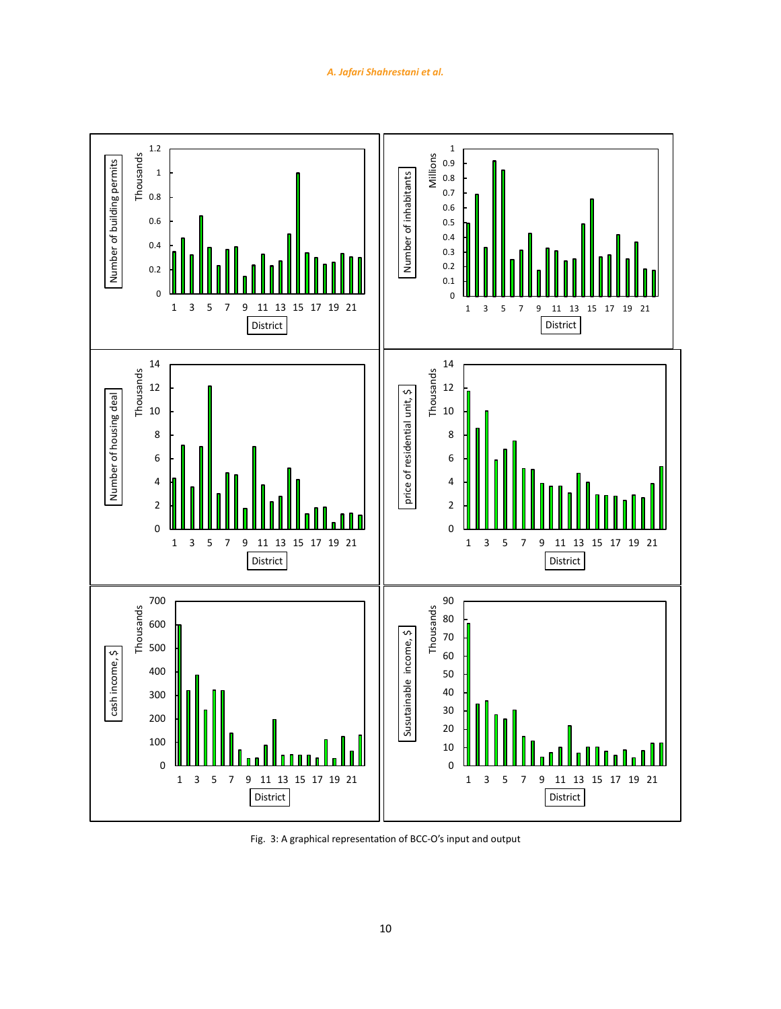

Fig. 3: A graphical representation of BCC-O's input and output Fig. 3: A graphical representation of BCC-O's input and output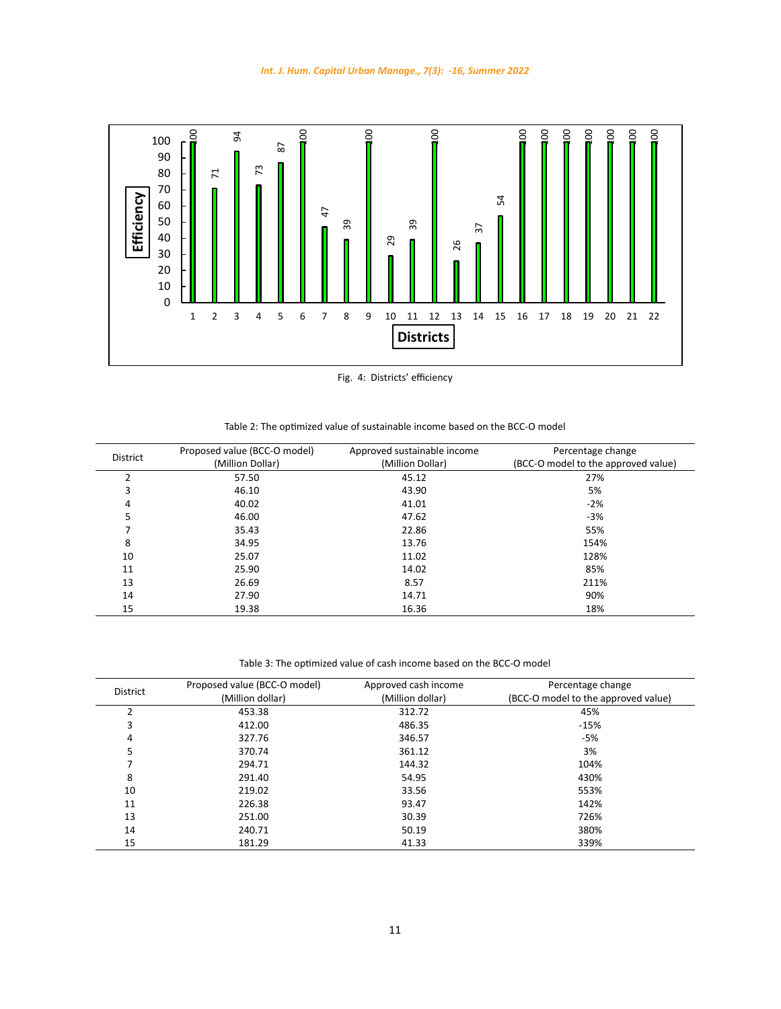

Fig. 4: Districts' efficiency Fig. 4: Districts' efficiency

| <b>District</b> | Proposed value (BCC-O model) | Approved sustainable income | Percentage change                   |
|-----------------|------------------------------|-----------------------------|-------------------------------------|
|                 | (Million Dollar)             | (Million Dollar)            | (BCC-O model to the approved value) |
| $\overline{2}$  | 57.50                        | 45.12                       | 27%                                 |
| 3               | 46.10                        | 43.90                       | 5%                                  |
| 4               | 40.02                        | 41.01                       | $-2%$                               |
| 5               | 46.00                        | 47.62                       | $-3%$                               |
|                 | 35.43                        | 22.86                       | 55%                                 |
| 8               | 34.95                        | 13.76                       | 154%                                |
| 10              | 25.07                        | 11.02                       | 128%                                |
| 11              | 25.90                        | 14.02                       | 85%                                 |
| 13              | 26.69                        | 8.57                        | 211%                                |
| 14              | 27.90                        | 14.71                       | 90%                                 |
| 15              | 19.38                        | 16.36                       | 18%                                 |

Table 3: The optimized value of cash income based on the BCC-O model Table 3: The optimized value of cash income based on the BCC-O model

| <b>District</b> | Proposed value (BCC-O model)<br>(Million dollar) | Approved cash income<br>(Million dollar) | Percentage change<br>(BCC-O model to the approved value) |
|-----------------|--------------------------------------------------|------------------------------------------|----------------------------------------------------------|
| C               | 453.38                                           | 312.72                                   | 45%                                                      |
| 3               | 412.00                                           | 486.35                                   | $-15%$                                                   |
| 4               | 327.76                                           | 346.57                                   | $-5%$                                                    |
| 5               | 370.74                                           | 361.12                                   | 3%                                                       |
|                 | 294.71                                           | 144.32                                   | 104%                                                     |
| 8               | 291.40                                           | 54.95                                    | 430%                                                     |
| 10              | 219.02                                           | 33.56                                    | 553%                                                     |
| 11              | 226.38                                           | 93.47                                    | 142%                                                     |
| 13              | 251.00                                           | 30.39                                    | 726%                                                     |
| 14              | 240.71                                           | 50.19                                    | 380%                                                     |
| 15              | 181.29                                           | 41.33                                    | 339%                                                     |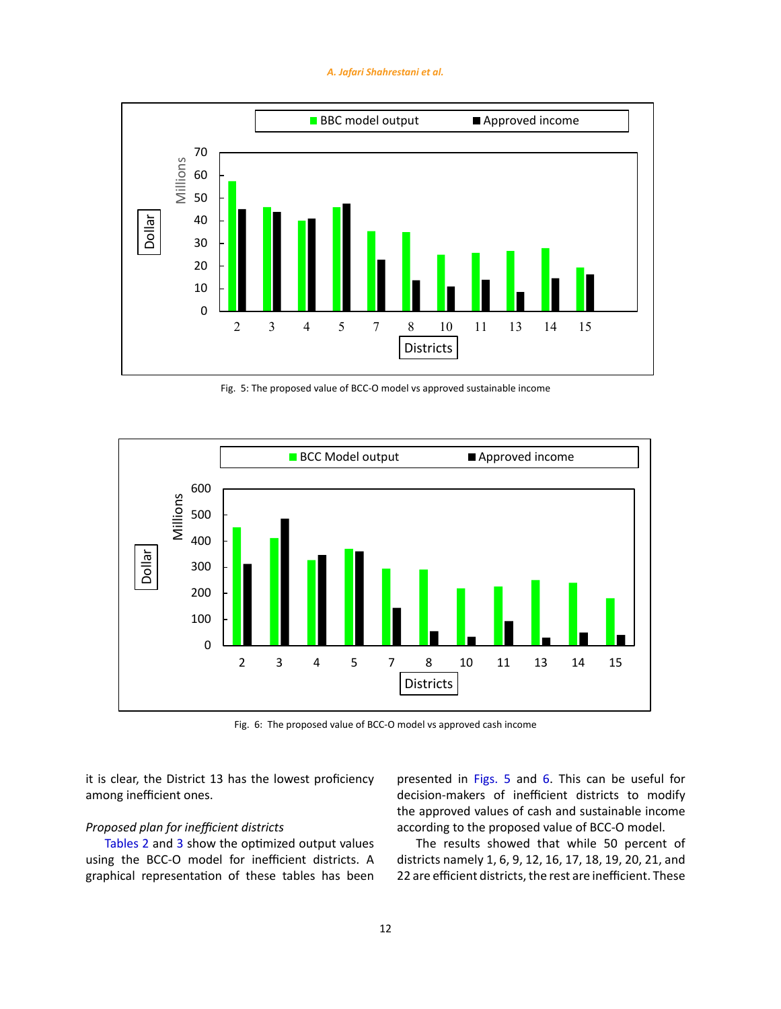#### *A. Jafari Shahrestani et al.*



Fig. 5: The proposed value of BCC-O model vs approved sustainable income Fig. 5: The proposed value of BCC-O model vs approved sustainable income



Fig. 6: The proposed value of BCC-O model vs approved cash income Fig. 6: The proposed value of BCC-O model vs approved cash income

it is clear, the District 13 has the lowest proficiency among inefficient ones.

## *Proposed plan for inefficient districts*

Tables 2 and 3 show the optimized output values using the BCC-O model for inefficient districts. A graphical representation of these tables has been presented in Figs. 5 and 6. This can be useful for decision-makers of inefficient districts to modify the approved values of cash and sustainable income according to the proposed value of BCC-O model.

The results showed that while 50 percent of districts namely 1, 6, 9, 12, 16, 17, 18, 19, 20, 21, and 22 are efficient districts, the rest are inefficient. These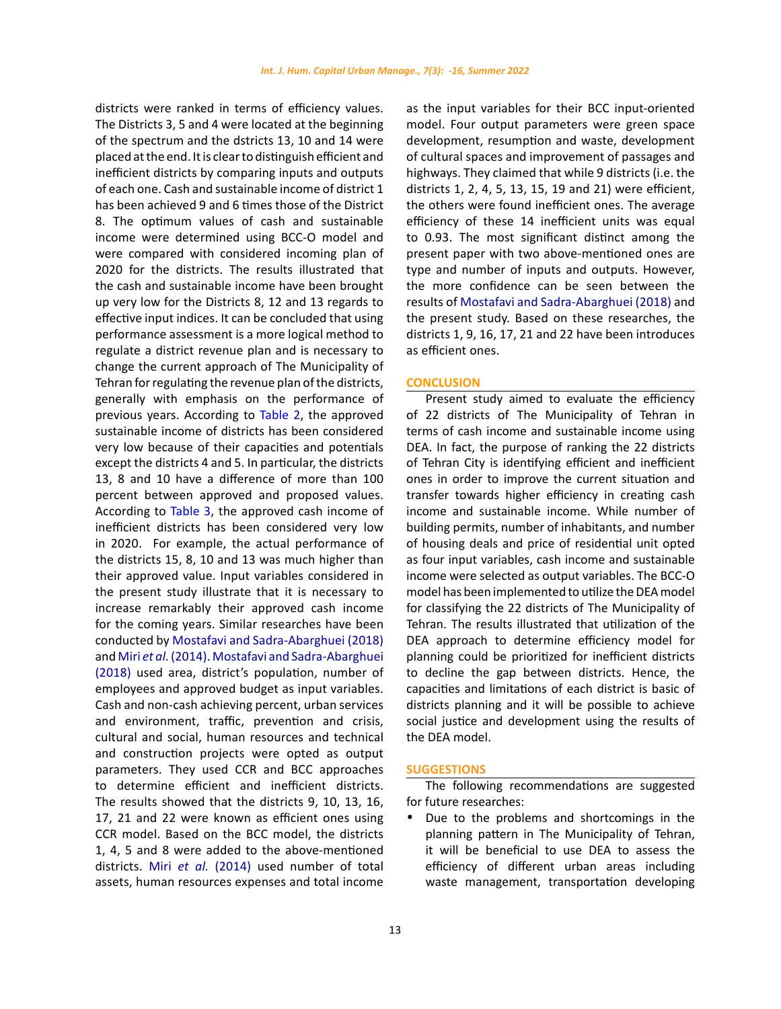districts were ranked in terms of efficiency values. The Districts 3, 5 and 4 were located at the beginning of the spectrum and the dstricts 13, 10 and 14 were placed at the end. It is clear to distinguish efficient and inefficient districts by comparing inputs and outputs of each one. Cash and sustainable income of district 1 has been achieved 9 and 6 times those of the District 8. The optimum values of cash and sustainable income were determined using BCC-O model and were compared with considered incoming plan of 2020 for the districts. The results illustrated that the cash and sustainable income have been brought up very low for the Districts 8, 12 and 13 regards to effective input indices. It can be concluded that using performance assessment is a more logical method to regulate a district revenue plan and is necessary to change the current approach of The Municipality of Tehran for regulating the revenue plan of the districts, generally with emphasis on the performance of previous years. According to Table 2, the approved sustainable income of districts has been considered very low because of their capacities and potentials except the districts 4 and 5. In particular, the districts 13, 8 and 10 have a difference of more than 100 percent between approved and proposed values. According to Table 3, the approved cash income of inefficient districts has been considered very low in 2020. For example, the actual performance of the districts 15, 8, 10 and 13 was much higher than their approved value. Input variables considered in the present study illustrate that it is necessary to increase remarkably their approved cash income for the coming years. Similar researches have been conducted by Mostafavi and Sadra-Abarghuei (2018) and Miri *et al.* (2014). Mostafavi and Sadra-Abarghuei (2018) used area, district's population, number of employees and approved budget as input variables. Cash and non-cash achieving percent, urban services and environment, traffic, prevention and crisis, cultural and social, human resources and technical and construction projects were opted as output parameters. They used CCR and BCC approaches to determine efficient and inefficient districts. The results showed that the districts 9, 10, 13, 16, 17, 21 and 22 were known as efficient ones using CCR model. Based on the BCC model, the districts 1, 4, 5 and 8 were added to the above-mentioned districts. Miri *et al.* (2014) used number of total assets, human resources expenses and total income

as the input variables for their BCC input-oriented model. Four output parameters were green space development, resumption and waste, development of cultural spaces and improvement of passages and highways. They claimed that while 9 districts (i.e. the districts 1, 2, 4, 5, 13, 15, 19 and 21) were efficient, the others were found inefficient ones. The average efficiency of these 14 inefficient units was equal to 0.93. The most significant distinct among the present paper with two above-mentioned ones are type and number of inputs and outputs. However, the more confidence can be seen between the results of Mostafavi and Sadra-Abarghuei (2018) and the present study. Based on these researches, the districts 1, 9, 16, 17, 21 and 22 have been introduces as efficient ones.

### **CONCLUSION**

Present study aimed to evaluate the efficiency of 22 districts of The Municipality of Tehran in terms of cash income and sustainable income using DEA. In fact, the purpose of ranking the 22 districts of Tehran City is identifying efficient and inefficient ones in order to improve the current situation and transfer towards higher efficiency in creating cash income and sustainable income. While number of building permits, number of inhabitants, and number of housing deals and price of residential unit opted as four input variables, cash income and sustainable income were selected as output variables. The BCC-O model has been implemented to utilize the DEA model for classifying the 22 districts of The Municipality of Tehran. The results illustrated that utilization of the DEA approach to determine efficiency model for planning could be prioritized for inefficient districts to decline the gap between districts. Hence, the capacities and limitations of each district is basic of districts planning and it will be possible to achieve social justice and development using the results of the DEA model.

## **SUGGESTIONS**

The following recommendations are suggested for future researches:

Due to the problems and shortcomings in the planning pattern in The Municipality of Tehran, it will be beneficial to use DEA to assess the efficiency of different urban areas including waste management, transportation developing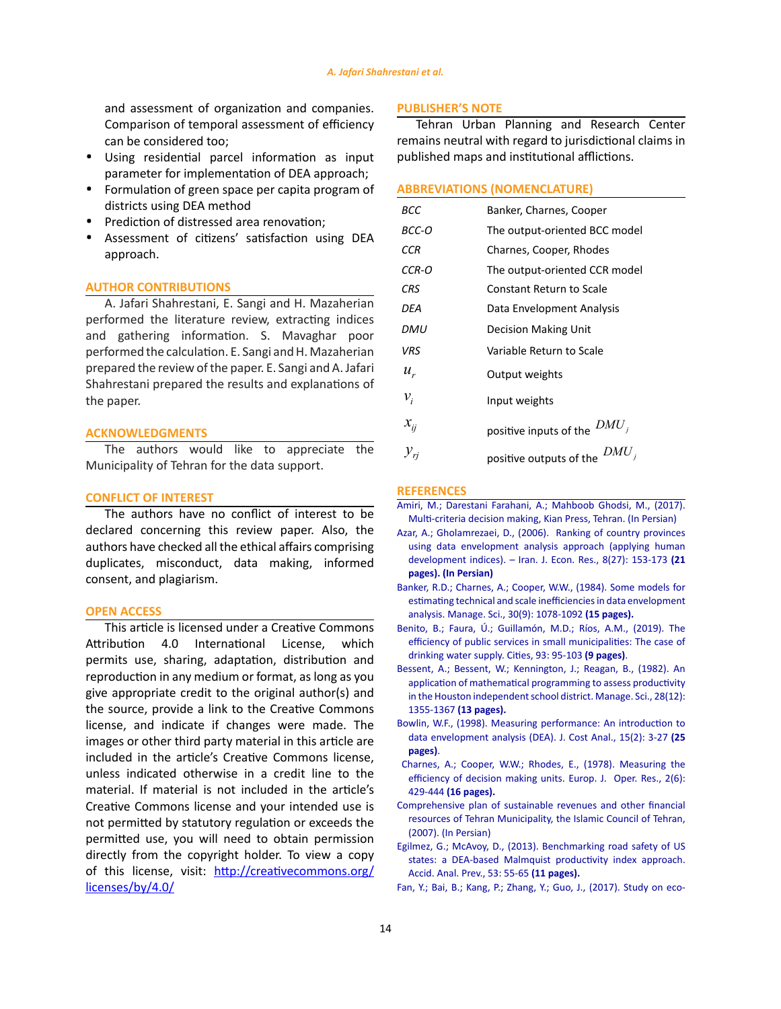and assessment of organization and companies. Comparison of temporal assessment of efficiency can be considered too;

- **·** Using residential parcel information as input parameter for implementation of DEA approach;
- **·** Formulation of green space per capita program of districts using DEA method
- **·** Prediction of distressed area renovation;
- **·** Assessment of citizens' satisfaction using DEA approach.

## **AUTHOR CONTRIBUTIONS**

A. Jafari Shahrestani, E. Sangi and H. Mazaherian performed the literature review, extracting indices and gathering information. S. Mavaghar poor performed the calculation. E. Sangi and H. Mazaherian prepared the review of the paper. E. Sangi and A. Jafari Shahrestani prepared the results and explanations of the paper.

## **ACKNOWLEDGMENTS**

The authors would like to appreciate the Municipality of Tehran for the data support.

## **CONFLICT OF INTEREST**

The authors have no conflict of interest to be declared concerning this review paper. Also, the authors have checked all the ethical affairs comprising duplicates, misconduct, data making, informed consent, and plagiarism.

## **OPEN ACCESS**

This article is licensed under a Creative Commons Attribution 4.0 International License, which permits use, sharing, adaptation, distribution and reproduction in any medium or format, as long as you give appropriate credit to the original author(s) and the source, provide a link to the Creative Commons license, and indicate if changes were made. The images or other third party material in this article are included in the article's Creative Commons license, unless indicated otherwise in a credit line to the material. If material is not included in the article's Creative Commons license and your intended use is not permitted by statutory regulation or exceeds the permitted use, you will need to obtain permission directly from the copyright holder. To view a copy of this license, visit: [http://creativecommons.org/](http://creativecommons.org/licenses/by/4.0/) [licenses/by/4.0/](http://creativecommons.org/licenses/by/4.0/)

## **PUBLISHER'S NOTE**

Tehran Urban Planning and Research Center remains neutral with regard to jurisdictional claims in published maps and institutional afflictions.

## **ABBREVIATIONS (NOMENCLATURE)**

| BCC             | Banker, Charnes, Cooper            |
|-----------------|------------------------------------|
| BCC-O           | The output-oriented BCC model      |
| <b>CCR</b>      | Charnes, Cooper, Rhodes            |
| CCR-O           | The output-oriented CCR model      |
| <b>CRS</b>      | <b>Constant Return to Scale</b>    |
| DEA             | Data Envelopment Analysis          |
| DMU             | Decision Making Unit               |
| VRS             | Variable Return to Scale           |
| $u_{\nu}$       | Output weights                     |
| $v_i$           | Input weights                      |
| $x_{ij}$        | $DMU_i$<br>positive inputs of the  |
| ${\cal Y}_{ri}$ | $DMU_i$<br>positive outputs of the |

#### **REFERENCES**

- [Amiri, M.; Darestani Farahani, A.; Mahboob Ghodsi, M., \(2017\).](http://www.kianpub.com/book/1907) [Multi-criteria decision making, Kian Press, Tehran. \(In Persian\)](http://www.kianpub.com/book/1907)
- [Azar, A.; Gholamrezaei, D., \(2006\). Ranking of country provinces](https://ijer.atu.ac.ir/article_3702.html) [using data envelopment analysis approach \(applying human](https://ijer.atu.ac.ir/article_3702.html) [development indices\). – Iran. J. Econ. Res., 8\(27\): 153-173](https://ijer.atu.ac.ir/article_3702.html) **(21 [pages\). \(In Persian\)](https://ijer.atu.ac.ir/article_3702.html)**
- [Banker, R.D.; Charnes, A.; Cooper, W.W., \(1984\). Some models for](https://pubsonline.informs.org/doi/10.1287/mnsc.30.9.1078) [estimating technical and scale inefficiencies in data envelopment](https://pubsonline.informs.org/doi/10.1287/mnsc.30.9.1078) [analysis. Manage. Sci., 30\(9\): 1078-1092](https://pubsonline.informs.org/doi/10.1287/mnsc.30.9.1078) **(15 pages).**
- [Benito, B.; Faura, Ú.; Guillamón, M.D.; Ríos, A.M., \(2019\). The](https://pubsonline.informs.org/doi/10.1287/mnsc.30.9.1078) [efficiency of public services in small municipalities: The case of](https://pubsonline.informs.org/doi/10.1287/mnsc.30.9.1078) [drinking water supply.](https://pubsonline.informs.org/doi/10.1287/mnsc.30.9.1078) Cities, 93: 95-103 **(9 pages)**.
- [Bessent, A.; Bessent, W.; Kennington, J.; Reagan, B., \(1982\). An](https://pubsonline.informs.org/doi/10.1287/mnsc.30.9.1078) [application of mathematical programming to assess productivity](https://pubsonline.informs.org/doi/10.1287/mnsc.30.9.1078) [in the Houston independent school district.](https://pubsonline.informs.org/doi/10.1287/mnsc.30.9.1078) Manage. Sci., 28(12): [1355-1367](https://pubsonline.informs.org/doi/10.1287/mnsc.30.9.1078) **(13 pages).**
- [Bowlin, W.F., \(1998\). Measuring performance: An introduction to](https://www.tandfonline.com/doi/abs/10.1080/08823871.1998.10462318) [data envelopment analysis \(DEA\). J. Cost Anal., 15\(2\): 3-27](https://www.tandfonline.com/doi/abs/10.1080/08823871.1998.10462318) **(25 [pages\)](https://www.tandfonline.com/doi/abs/10.1080/08823871.1998.10462318)**.
- [Charnes, A.; Cooper, W.W.; Rhodes, E., \(1978\). Measuring the](https://www.sciencedirect.com/science/article/pii/0377221778901388) [efficiency of decision making units. Europ. J. Oper. Res., 2\(6\):](https://www.sciencedirect.com/science/article/pii/0377221778901388) 429-444 **[\(16 pages\).](https://www.sciencedirect.com/science/article/pii/0377221778901388)**
- [Comprehensive plan of sustainable revenues and other financial](http://laws.tehran.ir/Law/TreeText/1202) [resources of Tehran Municipality, the Islamic Council of Tehran,](http://laws.tehran.ir/Law/TreeText/1202) [\(2007\). \(In Persian\)](http://laws.tehran.ir/Law/TreeText/1202)
- [Egilmez, G.; McAvoy, D., \(2013\). Benchmarking road safety of US](https://pubmed.ncbi.nlm.nih.gov/23376545/) [states: a DEA-based Malmquist productivity index approach.](https://pubmed.ncbi.nlm.nih.gov/23376545/) [Accid. Anal. Prev., 53: 55-65](https://pubmed.ncbi.nlm.nih.gov/23376545/) **(11 pages).**
- [Fan, Y.; Bai, B.; Kang, P.; Zhang, Y.; Guo, J., \(2017\). Study on eco-](https://www.sciencedirect.com/science/article/pii/S030147971730066X)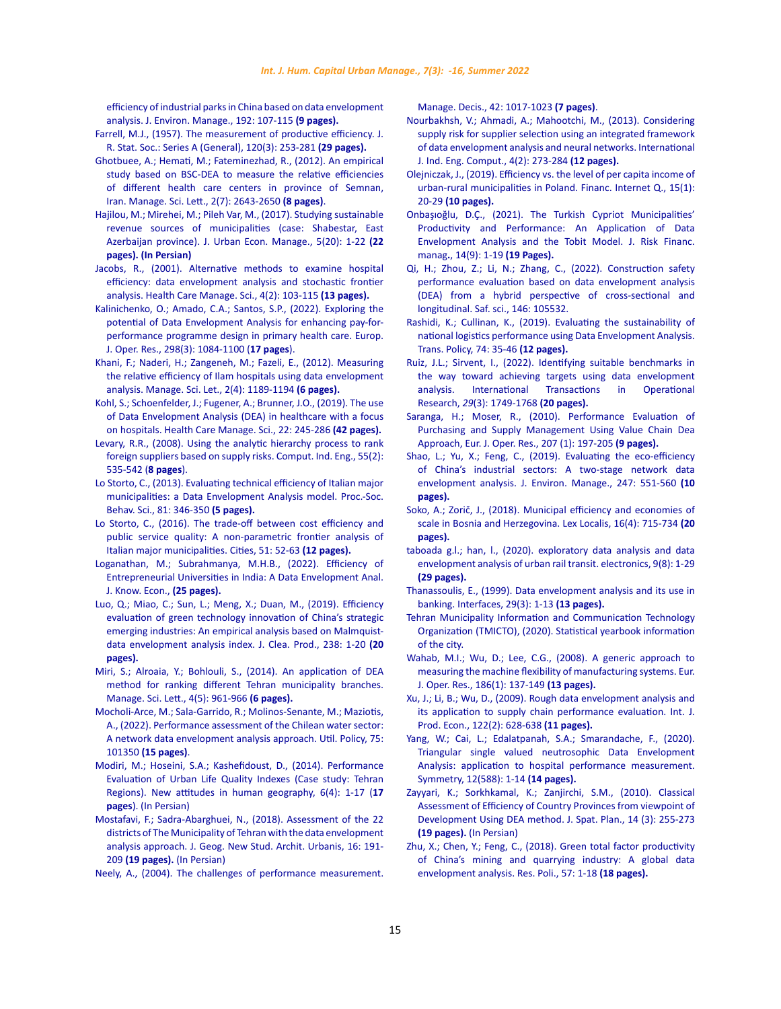[efficiency of industrial parks in China based on data envelopment](https://www.sciencedirect.com/science/article/pii/S030147971730066X)  [analysis. J. Environ. Manage., 192: 107-115](https://www.sciencedirect.com/science/article/pii/S030147971730066X) **(9 pages).**

- [Farrell, M.J., \(1957\). The measurement of productive efficiency.](https://rss.onlinelibrary.wiley.com/doi/abs/10.2307/2343100) J. [R. Stat. Soc.: Series A \(General\),](https://rss.onlinelibrary.wiley.com/doi/abs/10.2307/2343100) 120(3): 253-281 **(29 pages).**
- [Ghotbuee, A.; Hemati, M.; Fateminezhad, R., \(2012\). An empirical](https://www.researchgate.net/publication/271068937)  [study based on BSC-DEA to measure the relative efficiencies](https://www.researchgate.net/publication/271068937)  [of different health care centers in province of Semnan,](https://www.researchgate.net/publication/271068937)  Iran. [Manage. Sci. Lett.,](https://www.researchgate.net/publication/271068937) 2(7): 2643-2650 **(8 pages)**.
- [Hajilou, M.; Mirehei, M.; Pileh Var, M., \(2017\). Studying sustainable](https://www.sid.ir/en/journal/ViewPaper.aspx?id=596218)  [revenue sources of municipalities \(case: Shabestar, East](https://www.sid.ir/en/journal/ViewPaper.aspx?id=596218)  Azerbaijan province). [J. Urban Econ. Manage.,](https://www.sid.ir/en/journal/ViewPaper.aspx?id=596218) 5(20): 1-22 **(22 pages). [\(In Persian\)](https://www.sid.ir/en/journal/ViewPaper.aspx?id=596218)**
- [Jacobs, R., \(2001\). Alternative methods to examine hospital](https://link.springer.com/article/10.1023/A:1011453526849)  [efficiency: data envelopment analysis and stochastic frontier](https://link.springer.com/article/10.1023/A:1011453526849)  analysis. [Health Care Manage. Sci.,](https://link.springer.com/article/10.1023/A:1011453526849) 4(2): 103-115 **(13 pages).**
- [Kalinichenko, O.; Amado, C.A.; Santos, S.P., \(2022\). Exploring the](https://www.sciencedirect.com/science/article/pii/S0377221721006329)  [potential of Data Envelopment Analysis for enhancing pay-for](https://www.sciencedirect.com/science/article/pii/S0377221721006329)[performance programme design in primary health care.](https://www.sciencedirect.com/science/article/pii/S0377221721006329) Europ. J. Oper. Res., [298\(3\): 1084-1100 \(](https://www.sciencedirect.com/science/article/pii/S0377221721006329)**17 pages**).
- [Khani, F.; Naderi, H.; Zangeneh, M.; Fazeli, E., \(2012\). Measuring](https://www.researchgate.net/publication/290724155_Measuring_the_relative_efficiency_of_Ilam_hospitals_using_data_envelopment_analysis)  [the relative efficiency of Ilam hospitals using data envelopment](https://www.researchgate.net/publication/290724155_Measuring_the_relative_efficiency_of_Ilam_hospitals_using_data_envelopment_analysis)  analysis. [Manage. Sci. Let.,](https://www.researchgate.net/publication/290724155_Measuring_the_relative_efficiency_of_Ilam_hospitals_using_data_envelopment_analysis) 2(4): 1189-1194 **(6 pages).**
- [Kohl, S.; Schoenfelder, J.; Fugener, A.; Brunner, J.O., \(2019\). The use](https://link.springer.com/article/10.1007/s10729-018-9436-8)  [of Data Envelopment Analysis \(DEA\) in healthcare with a focus](https://link.springer.com/article/10.1007/s10729-018-9436-8)  [on hospitals. Health Care Manage. Sci., 22: 245-286](https://link.springer.com/article/10.1007/s10729-018-9436-8) **(42 pages).**
- [Levary, R.R., \(2008\). Using the analytic hierarchy process to rank](https://www.sciencedirect.com/science/article/pii/S0360835208000132)  [foreign suppliers based on supply risks. Comput. Ind. Eng., 55\(2\):](https://www.sciencedirect.com/science/article/pii/S0360835208000132)  [535-542 \(](https://www.sciencedirect.com/science/article/pii/S0360835208000132)**8 pages**).
- [Lo Storto, C., \(2013\). Evaluating technical efficiency of Italian major](https://www.sciencedirect.com/science/article/pii/S1877042813015073)  [municipalities: a Data Envelopment Analysis model.](https://www.sciencedirect.com/science/article/pii/S1877042813015073) Proc.-Soc. Behav. Sci., [81: 346-350](https://www.sciencedirect.com/science/article/pii/S1877042813015073) **(5 pages).**
- [Lo Storto, C., \(2016\). The trade-off between cost efficiency and](https://www.sciencedirect.com/science/article/abs/pii/S0264275115300202)  [public service quality: A non-parametric frontier analysis of](https://www.sciencedirect.com/science/article/abs/pii/S0264275115300202)  [Italian major municipalities.](https://www.sciencedirect.com/science/article/abs/pii/S0264275115300202) Cities, 51: 52-63 **(12 pages).**
- [Loganathan, M.; Subrahmanya, M.H.B., \(2022\). Efficiency of](https://link.springer.com/article/10.1007/s13132-022-00897-z)  [Entrepreneurial Universities in India: A Data Envelopment Anal.](https://link.springer.com/article/10.1007/s13132-022-00897-z)  [J. Know. Econ.,](https://link.springer.com/article/10.1007/s13132-022-00897-z) **(25 pages).**
- [Luo, Q.; Miao, C.; Sun, L.; Meng, X.; Duan, M., \(2019\). Efficiency](https://www.sciencedirect.com/science/article/pii/S0959652619326423)  [evaluation of green technology innovation of China's strategic](https://www.sciencedirect.com/science/article/pii/S0959652619326423)  [emerging industries: An empirical analysis based on Malmquist](https://www.sciencedirect.com/science/article/pii/S0959652619326423)[data envelopment analysis index. J. Clea. Prod., 238: 1-20](https://www.sciencedirect.com/science/article/pii/S0959652619326423) **(20 [pages\).](https://www.sciencedirect.com/science/article/pii/S0959652619326423)**
- [Miri, S.; Alroaia, Y.; Bohlouli, S., \(2014\). An application of DEA](http://m.growingscience.com/beta/msl/1454-an-application-of-dea-method-for-ranking-different-tehran-municipality-branches.html)  [method for ranking different Tehran municipality branches.](http://m.growingscience.com/beta/msl/1454-an-application-of-dea-method-for-ranking-different-tehran-municipality-branches.html)  [Manage. Sci. Lett., 4\(5\): 961-966](http://m.growingscience.com/beta/msl/1454-an-application-of-dea-method-for-ranking-different-tehran-municipality-branches.html) **(6 pages).**
- [Mocholi-Arce, M.; Sala-Garrido, R.; Molinos-Senante, M.; Maziotis,](https://www.sciencedirect.com/science/article/pii/S0957178722000157)  [A., \(2022\). Performance assessment of the Chilean water sector:](https://www.sciencedirect.com/science/article/pii/S0957178722000157)  [A network data envelopment analysis approach. Util. Policy, 75:](https://www.sciencedirect.com/science/article/pii/S0957178722000157)  101350 **[\(15 pages\)](https://www.sciencedirect.com/science/article/pii/S0957178722000157)**.
- [Modiri, M.; Hoseini, S.A.; Kashefidoust, D., \(2014\). Performance](http://ensani.ir/file/download/article/1587819391-10264-98-107.pdf)  [Evaluation of Urban Life Quality Indexes \(Case study: Tehran](http://ensani.ir/file/download/article/1587819391-10264-98-107.pdf)  [Regions\). New attitudes in human geography, 6\(4\): 1-17 \(](http://ensani.ir/file/download/article/1587819391-10264-98-107.pdf)**17 pages**[\). \(In Persian\)](http://ensani.ir/file/download/article/1587819391-10264-98-107.pdf)
- [Mostafavi, F.; Sadra-Abarghuei, N., \(2018\). Assessment of the 22](https://www.noormags.ir/view/fa/articlepage/1415840)  [districts of The Municipality of Tehran with the data envelopment](https://www.noormags.ir/view/fa/articlepage/1415840)  [analysis approach. J. Geog. New Stud. Archit. Urbanis, 16: 191-](https://www.noormags.ir/view/fa/articlepage/1415840) 209 **(19 pages).** [\(In Persian\)](https://www.noormags.ir/view/fa/articlepage/1415840)
- [Neely, A., \(2004\). The challenges of performance measurement.](https://www.semanticscholar.org/paper/The-challenges-of-performance-measurement-Powell/29e6906c2fbf52dbed61e8922babfa0dec79ec20)

[Manage. Decis., 42: 1017-1023](https://www.semanticscholar.org/paper/The-challenges-of-performance-measurement-Powell/29e6906c2fbf52dbed61e8922babfa0dec79ec20) **(7 pages)**.

- [Nourbakhsh, V.; Ahmadi, A.; Mahootchi, M., \(2013\). Considering](https://www.researchgate.net/publication/271144724) [supply risk for supplier selection using an integrated framework](https://www.researchgate.net/publication/271144724) [of data envelopment analysis and neural networks.](https://www.researchgate.net/publication/271144724) International [J. Ind. Eng. Comput.,](https://www.researchgate.net/publication/271144724) 4(2): 273-284 **(12 pages).**
- [Olejniczak, J., \(2019\). Efficiency vs. the level of per capita income of](https://sciendo.com/pdf/10.2478/fiqf-2019-0003) [urban-rural municipalities in Poland.](https://sciendo.com/pdf/10.2478/fiqf-2019-0003) Financ. Internet Q., 15(1): 20-29 **[\(10 pages\).](https://sciendo.com/pdf/10.2478/fiqf-2019-0003)**
- [Onbaşıoğlu, D.Ç., \(2021\). The Turkish Cypriot Municipalities'](https://www.mdpi.com/1911-8074/14/9/407) [Productivity and Performance: An Application of Data](https://www.mdpi.com/1911-8074/14/9/407) [Envelopment Analysis and the Tobit Model.](https://www.mdpi.com/1911-8074/14/9/407) J. Risk Financ. manag**.**, 14(9): 1-19 **[\(19 Pages\).](https://www.mdpi.com/1911-8074/14/9/407)**
- [Qi, H.; Zhou, Z.; Li, N.; Zhang, C., \(2022\). Construction safety](https://www.sciencedirect.com/science/article/pii/S0925753521003751) [performance evaluation based on data envelopment analysis](https://www.sciencedirect.com/science/article/pii/S0925753521003751) [\(DEA\) from a hybrid perspective of cross-sectional and](https://www.sciencedirect.com/science/article/pii/S0925753521003751) [longitudinal. Saf. sci., 146: 105532.](https://www.sciencedirect.com/science/article/pii/S0925753521003751)
- [Rashidi, K.; Cullinan, K., \(2019\). Evaluating the sustainability of](https://www.sciencedirect.com/science/article/abs/pii/S0967070X18301914) [national logistics performance using Data Envelopment Analysis.](https://www.sciencedirect.com/science/article/abs/pii/S0967070X18301914) [Trans. Policy, 74: 35-46](https://www.sciencedirect.com/science/article/abs/pii/S0967070X18301914) **(12 pages).**
- [Ruiz, J.L.; Sirvent, I., \(2022\). Identifying suitable benchmarks in](https://onlinelibrary.wiley.com/doi/10.1111/itor.13029) [the way toward achieving targets using data envelopment](https://onlinelibrary.wiley.com/doi/10.1111/itor.13029) analysis. [International Transactions in Operational](https://onlinelibrary.wiley.com/doi/10.1111/itor.13029) Research, *29*[\(3\): 1749-1768](https://onlinelibrary.wiley.com/doi/10.1111/itor.13029) **(20 pages).**
- [Saranga, H.; Moser, R., \(2010\). Performance Evaluation of](https://www.alexandria.unisg.ch/211732/) [Purchasing and Supply Management Using Value Chain Dea](https://www.alexandria.unisg.ch/211732/) [Approach, Eur. J. Oper. Res., 207 \(1\): 197-205](https://www.alexandria.unisg.ch/211732/) **(9 pages).**
- [Shao, L.; Yu, X.; Feng, C., \(2019\). Evaluating the eco-efficiency](https://www.sciencedirect.com/science/article/pii/S0301479719309004) [of China's industrial sectors: A two-stage network data](https://www.sciencedirect.com/science/article/pii/S0301479719309004) [envelopment analysis. J. Environ. Manage., 247: 551-560](https://www.sciencedirect.com/science/article/pii/S0301479719309004) **(10 [pages\).](https://www.sciencedirect.com/science/article/pii/S0301479719309004)**
- [Soko, A.; Zorič, J., \(2018\). Municipal efficiency and economies of](http://pub.lex-localis.info/index.php/LexLocalis/article/view/1005) [scale in Bosnia and Herzegovina.](http://pub.lex-localis.info/index.php/LexLocalis/article/view/1005) Lex Localis, 16(4): 715-734 **(20 [pages\).](http://pub.lex-localis.info/index.php/LexLocalis/article/view/1005)**
- [taboada g.l.; han, l., \(2020\). exploratory data analysis and data](https://www.mdpi.com/2079-9292/9/8/1270/htm) [envelopment analysis of urban rail transit. electronics, 9\(8\): 1-29](https://www.mdpi.com/2079-9292/9/8/1270/htm) **[\(29 pages\).](https://www.mdpi.com/2079-9292/9/8/1270/htm)**
- [Thanassoulis, E., \(1999\). Data envelopment analysis and its use in](https://pubsonline.informs.org/doi/abs/10.1287/inte.29.3.1?journalCode=inte) banking. Interfaces, [29\(3\): 1-13](https://pubsonline.informs.org/doi/abs/10.1287/inte.29.3.1?journalCode=inte) **(13 pages).**
- [Tehran Municipality Information and Communication Technology](http://Data.tehran.ir/) [Organization \(TMICTO\), \(2020\). Statistical yearbook information](http://Data.tehran.ir/) [of the city.](http://Data.tehran.ir/)
- [Wahab, M.I.; Wu, D.; Lee, C.G., \(2008\). A generic approach to](https://www.infona.pl/resource/bwmeta1.element.elsevier-9b329654-a6bb-3dfc-aa2c-7253fee1152b) [measuring the machine flexibility of manufacturing systems.](https://www.infona.pl/resource/bwmeta1.element.elsevier-9b329654-a6bb-3dfc-aa2c-7253fee1152b) Eur. J. Oper. Res., [186\(1\): 137-149](https://www.infona.pl/resource/bwmeta1.element.elsevier-9b329654-a6bb-3dfc-aa2c-7253fee1152b) **(13 pages).**
- [Xu, J.; Li, B.; Wu, D., \(2009\). Rough data envelopment analysis and](https://ideas.repec.org/a/eee/proeco/v122y2009i2p628-638.html) [its application to supply chain performance evaluation.](https://ideas.repec.org/a/eee/proeco/v122y2009i2p628-638.html) Int. J. Prod. Econ., [122\(2\): 628-638](https://ideas.repec.org/a/eee/proeco/v122y2009i2p628-638.html) **(11 pages).**
- [Yang, W.; Cai, L.; Edalatpanah, S.A.; Smarandache, F., \(2020\).](https://www.mdpi.com/2073-8994/12/4/588/htm) [Triangular single valued neutrosophic Data Envelopment](https://www.mdpi.com/2073-8994/12/4/588/htm) [Analysis: application to hospital performance measurement.](https://www.mdpi.com/2073-8994/12/4/588/htm) [Symmetry, 12\(588\): 1-14](https://www.mdpi.com/2073-8994/12/4/588/htm) **(14 pages).**
- [Zayyari, K.; Sorkhkamal, K.; Zanjirchi, S.M., \(2010\). Classical](http://ensani.ir/file/download/article/20120419184451-8021-36.pdf) [Assessment of Efficiency of Country Provinces from viewpoint of](http://ensani.ir/file/download/article/20120419184451-8021-36.pdf) [Development Using DEA method. J. Spat. Plan., 14 \(3\): 255-273](http://ensani.ir/file/download/article/20120419184451-8021-36.pdf) **(19 pages).** [\(In Persian\)](http://ensani.ir/file/download/article/20120419184451-8021-36.pdf)
- [Zhu, X.; Chen, Y.; Feng, C., \(2018\). Green total factor productivity](https://www.sciencedirect.com/science/article/abs/pii/S0301420717303690) [of China's mining and quarrying industry: A global data](https://www.sciencedirect.com/science/article/abs/pii/S0301420717303690) [envelopment analysis. Res. Poli., 57: 1-18](https://www.sciencedirect.com/science/article/abs/pii/S0301420717303690) **(18 pages).**